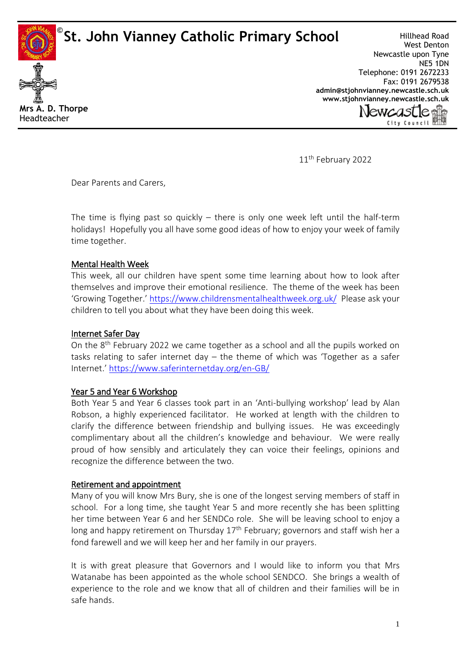**St. John Vianney Catholic Primary School ©**



Hillhead Road West Denton Newcastle upon Tyne NE5 1DN Telephone: 0191 2672233 Fax: 0191 2679538 **[admin@stjohnvianney.newcastle.sch.uk](mailto:admin@stjohnvianney.newcastle.sch.uk) [www.stjohnvianney.newcastle.sch.uk](http://www.stjohnvianney.newcastle.sch.uk/)**



11<sup>th</sup> February 2022

Dear Parents and Carers,

The time is flying past so quickly  $-$  there is only one week left until the half-term holidays! Hopefully you all have some good ideas of how to enjoy your week of family time together.

## Mental Health Week

This week, all our children have spent some time learning about how to look after themselves and improve their emotional resilience. The theme of the week has been 'Growing Together.' <https://www.childrensmentalhealthweek.org.uk/>Please ask your children to tell you about what they have been doing this week.

### Internet Safer Day

On the 8<sup>th</sup> February 2022 we came together as a school and all the pupils worked on tasks relating to safer internet day – the theme of which was 'Together as a safer Internet.' <https://www.saferinternetday.org/en-GB/>

### Year 5 and Year 6 Workshop

Both Year 5 and Year 6 classes took part in an 'Anti-bullying workshop' lead by Alan Robson, a highly experienced facilitator. He worked at length with the children to clarify the difference between friendship and bullying issues. He was exceedingly complimentary about all the children's knowledge and behaviour. We were really proud of how sensibly and articulately they can voice their feelings, opinions and recognize the difference between the two.

### Retirement and appointment

Many of you will know Mrs Bury, she is one of the longest serving members of staff in school. For a long time, she taught Year 5 and more recently she has been splitting her time between Year 6 and her SENDCo role. She will be leaving school to enjoy a long and happy retirement on Thursday 17<sup>th</sup> February; governors and staff wish her a fond farewell and we will keep her and her family in our prayers.

It is with great pleasure that Governors and I would like to inform you that Mrs Watanabe has been appointed as the whole school SENDCO. She brings a wealth of experience to the role and we know that all of children and their families will be in safe hands.